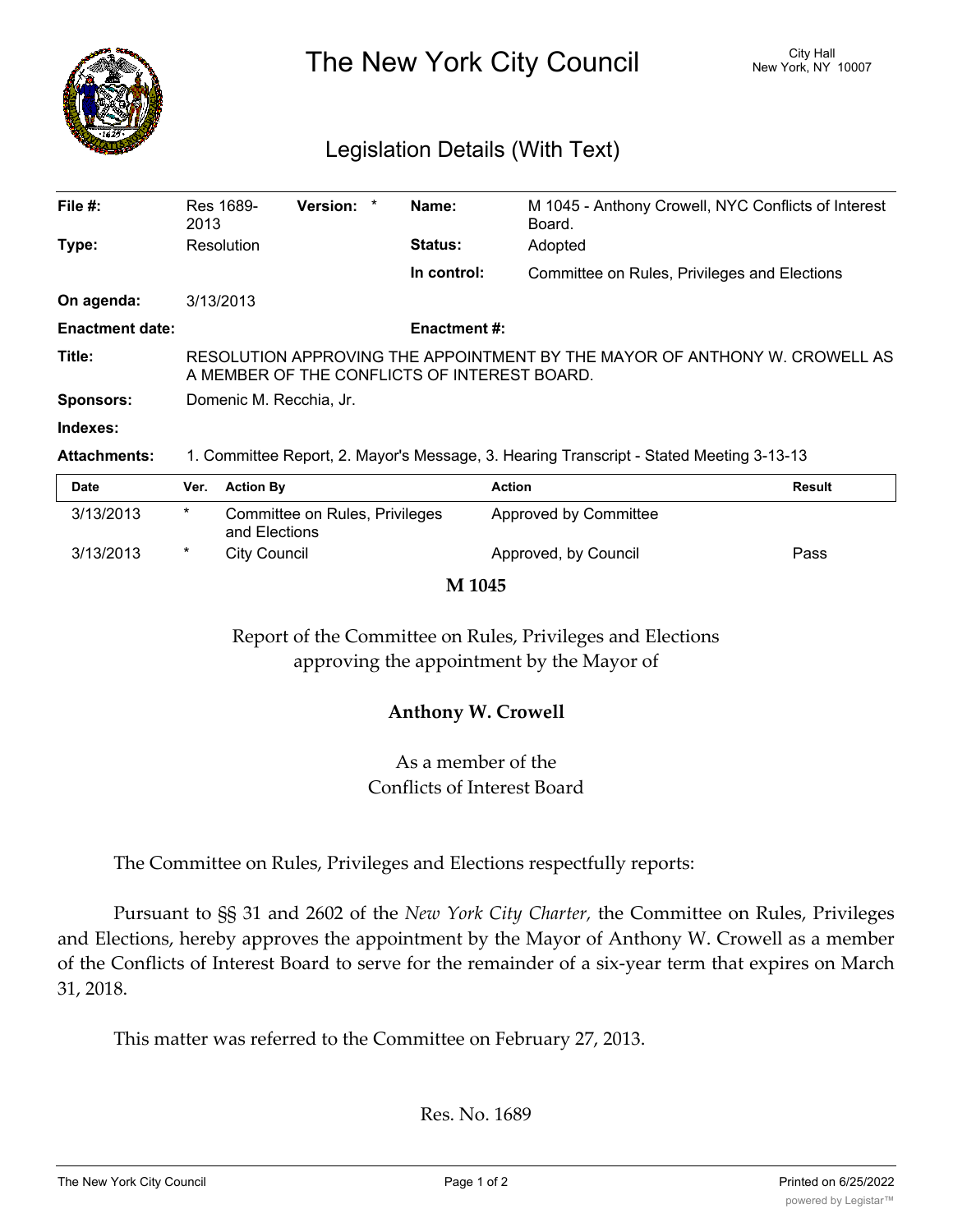

The New York City Council New York, NY 10007

## Legislation Details (With Text)

| File $#$ :             | Res 1689-<br>2013                                                                                                          | <b>Version:</b> | $\ast$ | Name:          | M 1045 - Anthony Crowell, NYC Conflicts of Interest<br>Board. |  |  |
|------------------------|----------------------------------------------------------------------------------------------------------------------------|-----------------|--------|----------------|---------------------------------------------------------------|--|--|
| Type:                  | Resolution                                                                                                                 |                 |        | <b>Status:</b> | Adopted                                                       |  |  |
|                        |                                                                                                                            |                 |        | In control:    | Committee on Rules, Privileges and Elections                  |  |  |
| On agenda:             | 3/13/2013                                                                                                                  |                 |        |                |                                                               |  |  |
| <b>Enactment date:</b> | <b>Enactment #:</b>                                                                                                        |                 |        |                |                                                               |  |  |
| Title:                 | RESOLUTION APPROVING THE APPOINTMENT BY THE MAYOR OF ANTHONY W. CROWELL AS<br>A MEMBER OF THE CONFLICTS OF INTEREST BOARD. |                 |        |                |                                                               |  |  |
| <b>Sponsors:</b>       | Domenic M. Recchia, Jr.                                                                                                    |                 |        |                |                                                               |  |  |
| Indexes:               |                                                                                                                            |                 |        |                |                                                               |  |  |
| <b>Attachments:</b>    | 1. Committee Report, 2. Mayor's Message, 3. Hearing Transcript - Stated Meeting 3-13-13                                    |                 |        |                |                                                               |  |  |

| <b>Date</b> | Ver. | <b>Action By</b>                                | <b>Action</b>         | <b>Result</b> |
|-------------|------|-------------------------------------------------|-----------------------|---------------|
| 3/13/2013   | *    | Committee on Rules, Privileges<br>and Elections | Approved by Committee |               |
| 3/13/2013   | *    | City Council                                    | Approved, by Council  | Pass          |

**M 1045**

Report of the Committee on Rules, Privileges and Elections approving the appointment by the Mayor of

## **Anthony W. Crowell**

As a member of the Conflicts of Interest Board

The Committee on Rules, Privileges and Elections respectfully reports:

Pursuant to §§ 31 and 2602 of the *New York City Charter,* the Committee on Rules, Privileges and Elections, hereby approves the appointment by the Mayor of Anthony W. Crowell as a member of the Conflicts of Interest Board to serve for the remainder of a six-year term that expires on March 31, 2018.

This matter was referred to the Committee on February 27, 2013.

Res. No. 1689